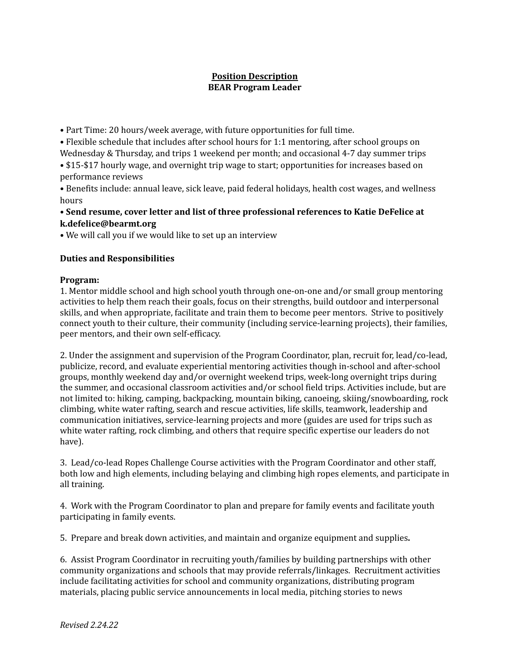# **Position Description BEAR Program Leader**

• Part Time: 20 hours/week average, with future opportunities for full time.

• Flexible schedule that includes after school hours for 1:1 mentoring, after school groups on Wednesday & Thursday, and trips 1 weekend per month; and occasional 4-7 day summer trips • \$15-\$17 hourly wage, and overnight trip wage to start; opportunities for increases based on performance reviews

• Benefits include: annual leave, sick leave, paid federal holidays, health cost wages, and wellness hours

**• Send resume, cover letter and list of three professional references to Katie DeFelice at k.defelice@bearmt.org**

• We will call you if we would like to set up an interview

# **Duties and Responsibilities**

## **Program:**

1. Mentor middle school and high school youth through one-on-one and/or small group mentoring activities to help them reach their goals, focus on their strengths, build outdoor and interpersonal skills, and when appropriate, facilitate and train them to become peer mentors. Strive to positively connect youth to their culture, their community (including service-learning projects), their families, peer mentors, and their own self-efficacy.

2. Under the assignment and supervision of the Program Coordinator, plan, recruit for, lead/co-lead, publicize, record, and evaluate experiential mentoring activities though in-school and after-school groups, monthly weekend day and/or overnight weekend trips, week-long overnight trips during the summer, and occasional classroom activities and/or school field trips. Activities include, but are not limited to: hiking, camping, backpacking, mountain biking, canoeing, skiing/snowboarding, rock climbing, white water rafting, search and rescue activities, life skills, teamwork, leadership and communication initiatives, service-learning projects and more (guides are used for trips such as white water rafting, rock climbing, and others that require specific expertise our leaders do not have).

3. Lead/co-lead Ropes Challenge Course activities with the Program Coordinator and other staff, both low and high elements, including belaying and climbing high ropes elements, and participate in all training.

4. Work with the Program Coordinator to plan and prepare for family events and facilitate youth participating in family events.

5. Prepare and break down activities, and maintain and organize equipment and supplies**.**

6. Assist Program Coordinator in recruiting youth/families by building partnerships with other community organizations and schools that may provide referrals/linkages. Recruitment activities include facilitating activities for school and community organizations, distributing program materials, placing public service announcements in local media, pitching stories to news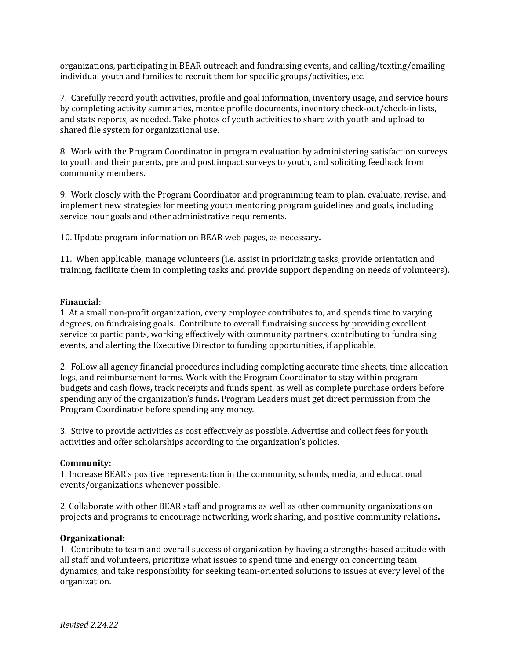organizations, participating in BEAR outreach and fundraising events, and calling/texting/emailing individual youth and families to recruit them for specific groups/activities, etc.

7. Carefully record youth activities, profile and goal information, inventory usage, and service hours by completing activity summaries, mentee profile documents, inventory check-out/check-in lists, and stats reports, as needed. Take photos of youth activities to share with youth and upload to shared file system for organizational use.

8. Work with the Program Coordinator in program evaluation by administering satisfaction surveys to youth and their parents, pre and post impact surveys to youth, and soliciting feedback from community members**.**

9. Work closely with the Program Coordinator and programming team to plan, evaluate, revise, and implement new strategies for meeting youth mentoring program guidelines and goals, including service hour goals and other administrative requirements.

10. Update program information on BEAR web pages, as necessary**.**

11. When applicable, manage volunteers (i.e. assist in prioritizing tasks, provide orientation and training, facilitate them in completing tasks and provide support depending on needs of volunteers).

### **Financial**:

1. At a small non-profit organization, every employee contributes to, and spends time to varying degrees, on fundraising goals. Contribute to overall fundraising success by providing excellent service to participants, working effectively with community partners, contributing to fundraising events, and alerting the Executive Director to funding opportunities, if applicable.

2. Follow all agency financial procedures including completing accurate time sheets, time allocation logs, and reimbursement forms. Work with the Program Coordinator to stay within program budgets and cash flows**,** track receipts and funds spent, as well as complete purchase orders before spending any of the organization's funds**.** Program Leaders must get direct permission from the Program Coordinator before spending any money.

3. Strive to provide activities as cost effectively as possible. Advertise and collect fees for youth activities and offer scholarships according to the organization's policies.

#### **Community:**

1. Increase BEAR's positive representation in the community, schools, media, and educational events/organizations whenever possible.

2. Collaborate with other BEAR staff and programs as well as other community organizations on projects and programs to encourage networking, work sharing, and positive community relations**.**

#### **Organizational**:

1. Contribute to team and overall success of organization by having a strengths-based attitude with all staff and volunteers, prioritize what issues to spend time and energy on concerning team dynamics, and take responsibility for seeking team-oriented solutions to issues at every level of the organization.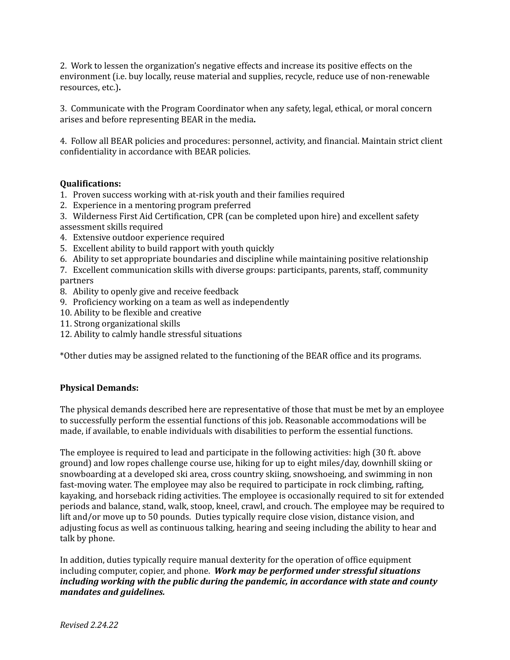2. Work to lessen the organization's negative effects and increase its positive effects on the environment (i.e. buy locally, reuse material and supplies, recycle, reduce use of non-renewable resources, etc.)**.**

3. Communicate with the Program Coordinator when any safety, legal, ethical, or moral concern arises and before representing BEAR in the media**.**

4. Follow all BEAR policies and procedures: personnel, activity, and financial. Maintain strict client confidentiality in accordance with BEAR policies.

### **Qualifications:**

- 1. Proven success working with at-risk youth and their families required
- 2. Experience in a mentoring program preferred
- 3. Wilderness First Aid Certification, CPR (can be completed upon hire) and excellent safety assessment skills required
- 4. Extensive outdoor experience required
- 5. Excellent ability to build rapport with youth quickly
- 6. Ability to set appropriate boundaries and discipline while maintaining positive relationship

7. Excellent communication skills with diverse groups: participants, parents, staff, community partners

- 8. Ability to openly give and receive feedback
- 9. Proficiency working on a team as well as independently
- 10. Ability to be flexible and creative
- 11. Strong organizational skills
- 12. Ability to calmly handle stressful situations

\*Other duties may be assigned related to the functioning of the BEAR office and its programs.

## **Physical Demands:**

The physical demands described here are representative of those that must be met by an employee to successfully perform the essential functions of this job. Reasonable accommodations will be made, if available, to enable individuals with disabilities to perform the essential functions.

The employee is required to lead and participate in the following activities: high (30 ft. above ground) and low ropes challenge course use, hiking for up to eight miles/day, downhill skiing or snowboarding at a developed ski area, cross country skiing, snowshoeing, and swimming in non fast-moving water. The employee may also be required to participate in rock climbing, rafting, kayaking, and horseback riding activities. The employee is occasionally required to sit for extended periods and balance, stand, walk, stoop, kneel, crawl, and crouch. The employee may be required to lift and/or move up to 50 pounds. Duties typically require close vision, distance vision, and adjusting focus as well as continuous talking, hearing and seeing including the ability to hear and talk by phone.

In addition, duties typically require manual dexterity for the operation of office equipment including computer, copier, and phone. *Work may be performed under stressful situations including working with the public during the pandemic, in accordance with state and county mandates and guidelines.*